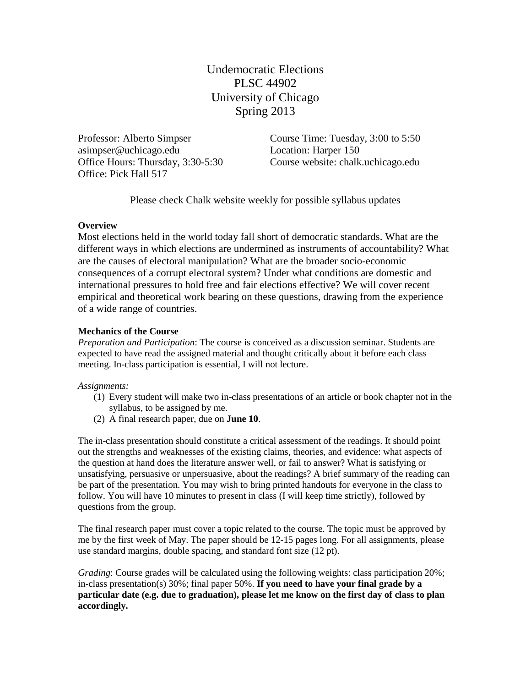Undemocratic Elections PLSC 44902 University of Chicago Spring 2013

Professor: Alberto Simpser asimpser@uchicago.edu Office Hours: Thursday, 3:30-5:30 Office: Pick Hall 517

Course Time: Tuesday, 3:00 to 5:50 Location: Harper 150 Course website: chalk.uchicago.edu

Please check Chalk website weekly for possible syllabus updates

## **Overview**

Most elections held in the world today fall short of democratic standards. What are the different ways in which elections are undermined as instruments of accountability? What are the causes of electoral manipulation? What are the broader socio-economic consequences of a corrupt electoral system? Under what conditions are domestic and international pressures to hold free and fair elections effective? We will cover recent empirical and theoretical work bearing on these questions, drawing from the experience of a wide range of countries.

## **Mechanics of the Course**

*Preparation and Participation*: The course is conceived as a discussion seminar. Students are expected to have read the assigned material and thought critically about it before each class meeting. In-class participation is essential, I will not lecture.

*Assignments:* 

- (1) Every student will make two in-class presentations of an article or book chapter not in the syllabus, to be assigned by me.
- (2) A final research paper, due on **June 10**.

The in-class presentation should constitute a critical assessment of the readings. It should point out the strengths and weaknesses of the existing claims, theories, and evidence: what aspects of the question at hand does the literature answer well, or fail to answer? What is satisfying or unsatisfying, persuasive or unpersuasive, about the readings? A brief summary of the reading can be part of the presentation. You may wish to bring printed handouts for everyone in the class to follow. You will have 10 minutes to present in class (I will keep time strictly), followed by questions from the group.

The final research paper must cover a topic related to the course. The topic must be approved by me by the first week of May. The paper should be 12-15 pages long. For all assignments, please use standard margins, double spacing, and standard font size (12 pt).

*Grading*: Course grades will be calculated using the following weights: class participation 20%; in-class presentation(s) 30%; final paper 50%. **If you need to have your final grade by a particular date (e.g. due to graduation), please let me know on the first day of class to plan accordingly.**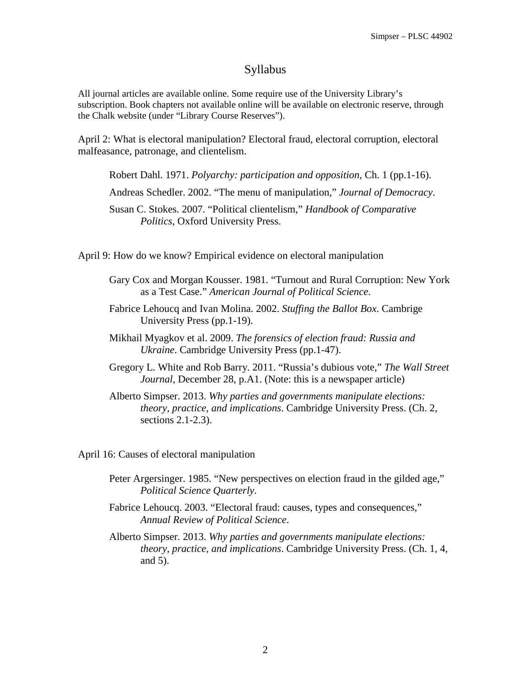## Syllabus

All journal articles are available online. Some require use of the University Library's subscription. Book chapters not available online will be available on electronic reserve, through the Chalk website (under "Library Course Reserves").

April 2: What is electoral manipulation? Electoral fraud, electoral corruption, electoral malfeasance, patronage, and clientelism.

Robert Dahl. 1971. *Polyarchy: participation and opposition*, Ch. 1 (pp.1-16).

Andreas Schedler. 2002. "The menu of manipulation," *Journal of Democracy*.

Susan C. Stokes. 2007. "Political clientelism," *Handbook of Comparative Politics*, Oxford University Press.

April 9: How do we know? Empirical evidence on electoral manipulation

- Gary Cox and Morgan Kousser. 1981. "Turnout and Rural Corruption: New York as a Test Case." *American Journal of Political Science*.
- Fabrice Lehoucq and Ivan Molina. 2002. *Stuffing the Ballot Box*. Cambrige University Press (pp.1-19).
- Mikhail Myagkov et al. 2009. *The forensics of election fraud: Russia and Ukraine*. Cambridge University Press (pp.1-47).
- Gregory L. White and Rob Barry. 2011. "Russia's dubious vote," *The Wall Street Journal*, December 28, p.A1. (Note: this is a newspaper article)
- Alberto Simpser. 2013. *Why parties and governments manipulate elections: theory, practice, and implications*. Cambridge University Press. (Ch. 2, sections 2.1-2.3).

April 16: Causes of electoral manipulation

- Peter Argersinger. 1985. "New perspectives on election fraud in the gilded age," *Political Science Quarterly*.
- Fabrice Lehoucq. 2003. "Electoral fraud: causes, types and consequences," *Annual Review of Political Science*.
- Alberto Simpser. 2013. *Why parties and governments manipulate elections: theory, practice, and implications*. Cambridge University Press. (Ch. 1, 4, and 5).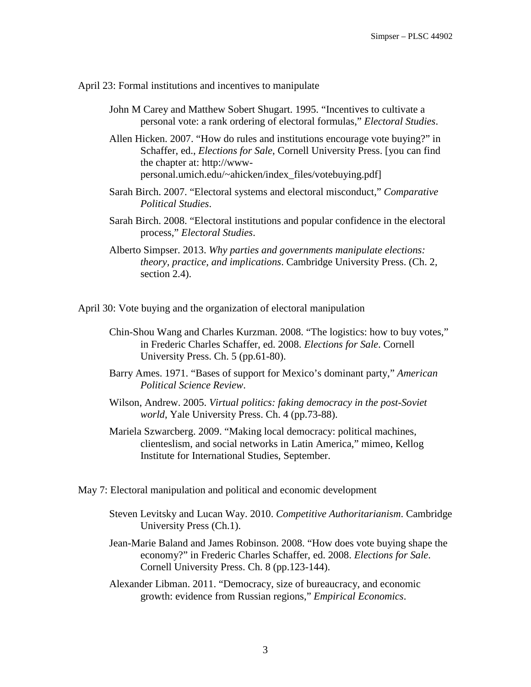April 23: Formal institutions and incentives to manipulate

John M Carey and Matthew Sobert Shugart. 1995. "Incentives to cultivate a personal vote: a rank ordering of electoral formulas," *Electoral Studies*.

Allen Hicken. 2007. "How do rules and institutions encourage vote buying?" in Schaffer, ed., *Elections for Sale*, Cornell University Press. [you can find the chapter at: http://wwwpersonal.umich.edu/~ahicken/index\_files/votebuying.pdf]

- Sarah Birch. 2007. "Electoral systems and electoral misconduct," *Comparative Political Studies*.
- Sarah Birch. 2008. "Electoral institutions and popular confidence in the electoral process," *Electoral Studies*.
- Alberto Simpser. 2013. *Why parties and governments manipulate elections: theory, practice, and implications*. Cambridge University Press. (Ch. 2, section 2.4).

April 30: Vote buying and the organization of electoral manipulation

- Chin-Shou Wang and Charles Kurzman. 2008. "The logistics: how to buy votes," in Frederic Charles Schaffer, ed. 2008. *Elections for Sale*. Cornell University Press. Ch. 5 (pp.61-80).
- Barry Ames. 1971. "Bases of support for Mexico's dominant party," *American Political Science Review*.
- Wilson, Andrew. 2005. *Virtual politics: faking democracy in the post-Soviet world*, Yale University Press. Ch. 4 (pp.73-88).
- Mariela Szwarcberg. 2009. "Making local democracy: political machines, clienteslism, and social networks in Latin America," mimeo, Kellog Institute for International Studies, September.

May 7: Electoral manipulation and political and economic development

- Steven Levitsky and Lucan Way. 2010. *Competitive Authoritarianism*. Cambridge University Press (Ch.1).
- Jean-Marie Baland and James Robinson. 2008. "How does vote buying shape the economy?" in Frederic Charles Schaffer, ed. 2008. *Elections for Sale*. Cornell University Press. Ch. 8 (pp.123-144).
- Alexander Libman. 2011. "Democracy, size of bureaucracy, and economic growth: evidence from Russian regions," *Empirical Economics*.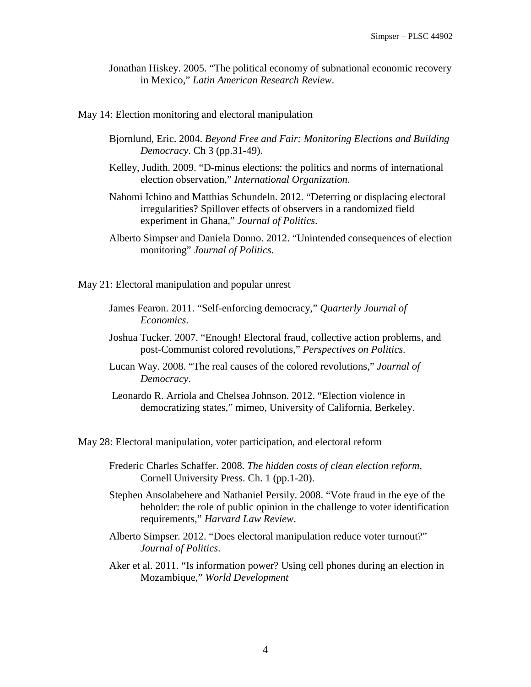Jonathan Hiskey. 2005. "The political economy of subnational economic recovery in Mexico," *Latin American Research Review*.

May 14: Election monitoring and electoral manipulation

- Bjornlund, Eric. 2004. *Beyond Free and Fair: Monitoring Elections and Building Democracy*. Ch 3 (pp.31-49).
- Kelley, Judith. 2009. "D-minus elections: the politics and norms of international election observation," *International Organization*.
- Nahomi Ichino and Matthias Schundeln. 2012. "Deterring or displacing electoral irregularities? Spillover effects of observers in a randomized field experiment in Ghana," *Journal of Politics*.
- Alberto Simpser and Daniela Donno. 2012. "Unintended consequences of election monitoring" *Journal of Politics*.

May 21: Electoral manipulation and popular unrest

- James Fearon. 2011. "Self-enforcing democracy," *Quarterly Journal of Economics*.
- Joshua Tucker. 2007. "Enough! Electoral fraud, collective action problems, and post-Communist colored revolutions," *Perspectives on Politics*.
- Lucan Way. 2008. "The real causes of the colored revolutions," *Journal of Democracy*.
- Leonardo R. Arriola and Chelsea Johnson. 2012. "Election violence in democratizing states," mimeo, University of California, Berkeley.

May 28: Electoral manipulation, voter participation, and electoral reform

- Frederic Charles Schaffer. 2008. *The hidden costs of clean election reform*, Cornell University Press. Ch. 1 (pp.1-20).
- Stephen Ansolabehere and Nathaniel Persily. 2008. "Vote fraud in the eye of the beholder: the role of public opinion in the challenge to voter identification requirements," *Harvard Law Review*.
- Alberto Simpser. 2012. "Does electoral manipulation reduce voter turnout?" *Journal of Politics*.
- Aker et al. 2011. "Is information power? Using cell phones during an election in Mozambique," *World Development*